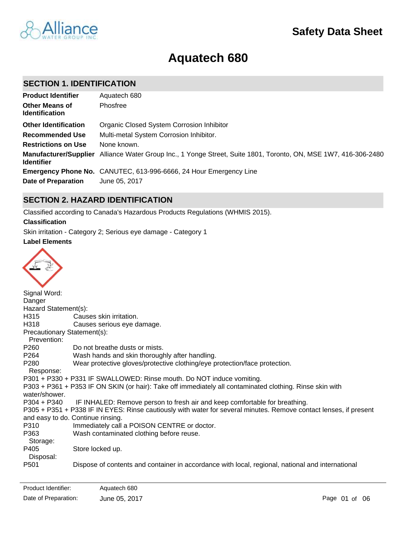

# **Aquatech 680**

# **SECTION 1. IDENTIFICATION**

| <b>Product Identifier</b>                         | Aquatech 680                                                                              |
|---------------------------------------------------|-------------------------------------------------------------------------------------------|
| <b>Other Means of</b><br><b>Identification</b>    | Phosfree                                                                                  |
| <b>Other Identification</b>                       | Organic Closed System Corrosion Inhibitor                                                 |
| <b>Recommended Use</b>                            | Multi-metal System Corrosion Inhibitor.                                                   |
| <b>Restrictions on Use</b>                        | None known.                                                                               |
| <b>Manufacturer/Supplier</b><br><b>Identifier</b> | Alliance Water Group Inc., 1 Yonge Street, Suite 1801, Toronto, ON, MSE 1W7, 416-306-2480 |
|                                                   | <b>Emergency Phone No.</b> CANUTEC, 613-996-6666, 24 Hour Emergency Line                  |
| <b>Date of Preparation</b>                        | June 05, 2017                                                                             |

# **SECTION 2. HAZARD IDENTIFICATION**

Classified according to Canada's Hazardous Products Regulations (WHMIS 2015).

**Classification**

Skin irritation - Category 2; Serious eye damage - Category 1

### **Label Elements**



| $\tilde{\phantom{a}}$       |                                                                                                                   |
|-----------------------------|-------------------------------------------------------------------------------------------------------------------|
| Signal Word:                |                                                                                                                   |
| Danger                      |                                                                                                                   |
| Hazard Statement(s):        |                                                                                                                   |
| H315                        | Causes skin irritation.                                                                                           |
| H318                        | Causes serious eye damage.                                                                                        |
| Precautionary Statement(s): |                                                                                                                   |
| Prevention:                 |                                                                                                                   |
| P260                        | Do not breathe dusts or mists.                                                                                    |
| P264                        | Wash hands and skin thoroughly after handling.                                                                    |
| P <sub>280</sub>            | Wear protective gloves/protective clothing/eye protection/face protection.                                        |
| Response:                   |                                                                                                                   |
|                             | P301 + P330 + P331 IF SWALLOWED: Rinse mouth. Do NOT induce vomiting.                                             |
|                             | P303 + P361 + P353 IF ON SKIN (or hair): Take off immediately all contaminated clothing. Rinse skin with          |
| water/shower.               |                                                                                                                   |
|                             | P304 + P340 IF INHALED: Remove person to fresh air and keep comfortable for breathing.                            |
|                             | P305 + P351 + P338 IF IN EYES: Rinse cautiously with water for several minutes. Remove contact lenses, if present |
|                             | and easy to do. Continue rinsing.                                                                                 |
| P310                        | Immediately call a POISON CENTRE or doctor.                                                                       |
| P363                        | Wash contaminated clothing before reuse.                                                                          |
| Storage:                    |                                                                                                                   |
| P405                        | Store locked up.                                                                                                  |
| Disposal:                   |                                                                                                                   |
| P <sub>501</sub>            | Dispose of contents and container in accordance with local, regional, national and international                  |
|                             |                                                                                                                   |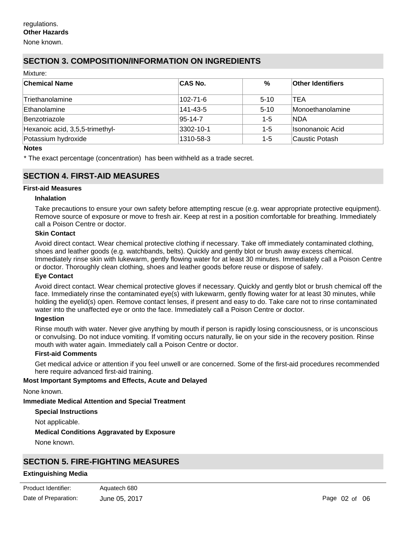None known.

# **SECTION 3. COMPOSITION/INFORMATION ON INGREDIENTS**

| Mixture:                        |                |          |                          |
|---------------------------------|----------------|----------|--------------------------|
| <b>Chemical Name</b>            | <b>CAS No.</b> | $\%$     | <b>Other Identifiers</b> |
| ∣Triethanolamine                | 102-71-6       | $5 - 10$ | TEA                      |
| Ethanolamine                    | 141-43-5       | $5 - 10$ | Monoethanolamine         |
| Benzotriazole                   | 95-14-7        | $1 - 5$  | <b>NDA</b>               |
| Hexanoic acid, 3,5,5-trimethyl- | 3302-10-1      | $1 - 5$  | Isononanoic Acid         |
| Potassium hydroxide             | 1310-58-3      | $1 - 5$  | Caustic Potash           |

#### **Notes**

\* The exact percentage (concentration) has been withheld as a trade secret.

### **SECTION 4. FIRST-AID MEASURES**

### **First-aid Measures**

#### **Inhalation**

Take precautions to ensure your own safety before attempting rescue (e.g. wear appropriate protective equipment). Remove source of exposure or move to fresh air. Keep at rest in a position comfortable for breathing. Immediately call a Poison Centre or doctor.

#### **Skin Contact**

Avoid direct contact. Wear chemical protective clothing if necessary. Take off immediately contaminated clothing, shoes and leather goods (e.g. watchbands, belts). Quickly and gently blot or brush away excess chemical. Immediately rinse skin with lukewarm, gently flowing water for at least 30 minutes. Immediately call a Poison Centre or doctor. Thoroughly clean clothing, shoes and leather goods before reuse or dispose of safely.

### **Eye Contact**

Avoid direct contact. Wear chemical protective gloves if necessary. Quickly and gently blot or brush chemical off the face. Immediately rinse the contaminated eye(s) with lukewarm, gently flowing water for at least 30 minutes, while holding the eyelid(s) open. Remove contact lenses, if present and easy to do. Take care not to rinse contaminated water into the unaffected eye or onto the face. Immediately call a Poison Centre or doctor.

#### **Ingestion**

Rinse mouth with water. Never give anything by mouth if person is rapidly losing consciousness, or is unconscious or convulsing. Do not induce vomiting. If vomiting occurs naturally, lie on your side in the recovery position. Rinse mouth with water again. Immediately call a Poison Centre or doctor.

#### **First-aid Comments**

Get medical advice or attention if you feel unwell or are concerned. Some of the first-aid procedures recommended here require advanced first-aid training.

### **Most Important Symptoms and Effects, Acute and Delayed**

None known.

### **Immediate Medical Attention and Special Treatment**

**Special Instructions**

Not applicable.

### **Medical Conditions Aggravated by Exposure**

None known.

# **SECTION 5. FIRE-FIGHTING MEASURES**

### **Extinguishing Media**

| Product Identifier:  | Aquatech 680  |
|----------------------|---------------|
| Date of Preparation: | June 05, 2017 |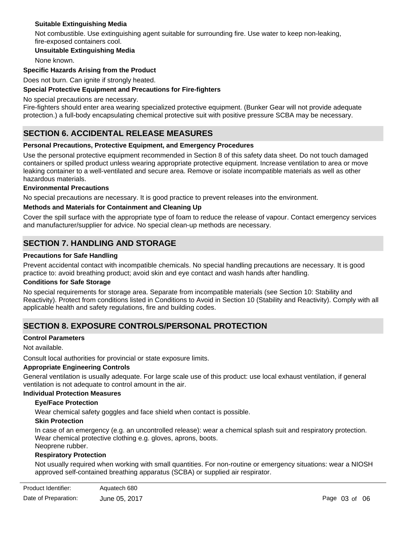### **Suitable Extinguishing Media**

Not combustible. Use extinguishing agent suitable for surrounding fire. Use water to keep non-leaking, fire-exposed containers cool.

### **Unsuitable Extinguishing Media**

None known.

### **Specific Hazards Arising from the Product**

Does not burn. Can ignite if strongly heated.

### **Special Protective Equipment and Precautions for Fire-fighters**

No special precautions are necessary.

Fire-fighters should enter area wearing specialized protective equipment. (Bunker Gear will not provide adequate protection.) a full-body encapsulating chemical protective suit with positive pressure SCBA may be necessary.

# **SECTION 6. ACCIDENTAL RELEASE MEASURES**

### **Personal Precautions, Protective Equipment, and Emergency Procedures**

Use the personal protective equipment recommended in Section 8 of this safety data sheet. Do not touch damaged containers or spilled product unless wearing appropriate protective equipment. Increase ventilation to area or move leaking container to a well-ventilated and secure area. Remove or isolate incompatible materials as well as other hazardous materials.

### **Environmental Precautions**

No special precautions are necessary. It is good practice to prevent releases into the environment.

### **Methods and Materials for Containment and Cleaning Up**

Cover the spill surface with the appropriate type of foam to reduce the release of vapour. Contact emergency services and manufacturer/supplier for advice. No special clean-up methods are necessary.

### **SECTION 7. HANDLING AND STORAGE**

### **Precautions for Safe Handling**

Prevent accidental contact with incompatible chemicals. No special handling precautions are necessary. It is good practice to: avoid breathing product; avoid skin and eye contact and wash hands after handling.

### **Conditions for Safe Storage**

No special requirements for storage area. Separate from incompatible materials (see Section 10: Stability and Reactivity). Protect from conditions listed in Conditions to Avoid in Section 10 (Stability and Reactivity). Comply with all applicable health and safety regulations, fire and building codes.

### **SECTION 8. EXPOSURE CONTROLS/PERSONAL PROTECTION**

### **Control Parameters**

Not available.

Consult local authorities for provincial or state exposure limits.

### **Appropriate Engineering Controls**

General ventilation is usually adequate. For large scale use of this product: use local exhaust ventilation, if general ventilation is not adequate to control amount in the air.

### **Individual Protection Measures**

#### **Eye/Face Protection**

Wear chemical safety goggles and face shield when contact is possible.

### **Skin Protection**

In case of an emergency (e.g. an uncontrolled release): wear a chemical splash suit and respiratory protection. Wear chemical protective clothing e.g. gloves, aprons, boots. Neoprene rubber.

# **Respiratory Protection**

Not usually required when working with small quantities. For non-routine or emergency situations: wear a NIOSH approved self-contained breathing apparatus (SCBA) or supplied air respirator.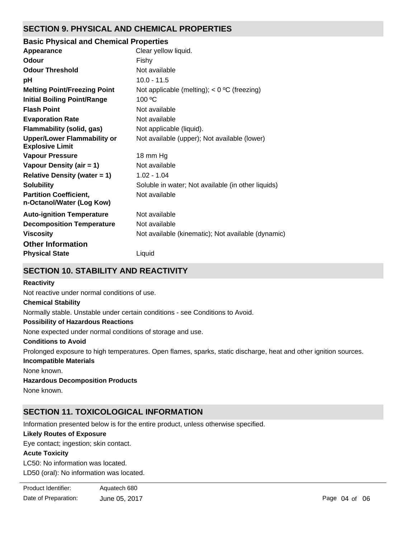# **SECTION 9. PHYSICAL AND CHEMICAL PROPERTIES**

### **Basic Physical and Chemical Properties**

| Appearance                                                   | Clear yellow liquid.                               |
|--------------------------------------------------------------|----------------------------------------------------|
| Odour                                                        | Fishy                                              |
| <b>Odour Threshold</b>                                       | Not available                                      |
| рH                                                           | $10.0 - 11.5$                                      |
| <b>Melting Point/Freezing Point</b>                          | Not applicable (melting); $<$ 0 °C (freezing)      |
| <b>Initial Boiling Point/Range</b>                           | $100 \degree C$                                    |
| <b>Flash Point</b>                                           | Not available                                      |
| <b>Evaporation Rate</b>                                      | Not available                                      |
| Flammability (solid, gas)                                    | Not applicable (liquid).                           |
| <b>Upper/Lower Flammability or</b><br><b>Explosive Limit</b> | Not available (upper); Not available (lower)       |
| <b>Vapour Pressure</b>                                       | 18 mm Hg                                           |
| Vapour Density (air = 1)                                     | Not available                                      |
| <b>Relative Density (water = 1)</b>                          | $1.02 - 1.04$                                      |
| <b>Solubility</b>                                            | Soluble in water; Not available (in other liquids) |
| <b>Partition Coefficient,</b><br>n-Octanol/Water (Log Kow)   | Not available                                      |
| <b>Auto-ignition Temperature</b>                             | Not available                                      |
| <b>Decomposition Temperature</b>                             | Not available                                      |
| <b>Viscosity</b>                                             | Not available (kinematic); Not available (dynamic) |
| <b>Other Information</b>                                     |                                                    |
| <b>Physical State</b>                                        | Liquid                                             |
|                                                              |                                                    |

# **SECTION 10. STABILITY AND REACTIVITY**

### **Reactivity**

Not reactive under normal conditions of use.

### **Chemical Stability**

Normally stable. Unstable under certain conditions - see Conditions to Avoid.

### **Possibility of Hazardous Reactions**

None expected under normal conditions of storage and use.

### **Conditions to Avoid**

Prolonged exposure to high temperatures. Open flames, sparks, static discharge, heat and other ignition sources.

### **Incompatible Materials**

None known.

### **Hazardous Decomposition Products**

None known.

# **SECTION 11. TOXICOLOGICAL INFORMATION**

Information presented below is for the entire product, unless otherwise specified.

### **Likely Routes of Exposure**

Eye contact; ingestion; skin contact.

### **Acute Toxicity**

LC50: No information was located. LD50 (oral): No information was located.

| Product Identifier:  | Aquatech 680  |
|----------------------|---------------|
| Date of Preparation: | June 05, 2017 |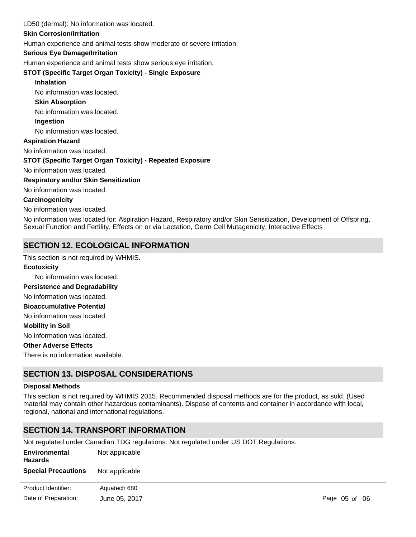### LD50 (dermal): No information was located.

### **Skin Corrosion/Irritation**

Human experience and animal tests show moderate or severe irritation.

### **Serious Eye Damage/Irritation**

Human experience and animal tests show serious eye irritation.

### **STOT (Specific Target Organ Toxicity) - Single Exposure**

#### **Inhalation**

No information was located.

#### **Skin Absorption**

No information was located.

#### **Ingestion**

No information was located.

### **Aspiration Hazard**

No information was located.

### **STOT (Specific Target Organ Toxicity) - Repeated Exposure**

No information was located.

#### **Respiratory and/or Skin Sensitization**

No information was located.

#### **Carcinogenicity**

No information was located.

No information was located for: Aspiration Hazard, Respiratory and/or Skin Sensitization, Development of Offspring, Sexual Function and Fertility, Effects on or via Lactation, Germ Cell Mutagenicity, Interactive Effects

# **SECTION 12. ECOLOGICAL INFORMATION**

This section is not required by WHMIS.

# No information was located. No information was located. No information was located. **Ecotoxicity Persistence and Degradability Mobility in Soil Bioaccumulative Potential**

No information was located.

### **Other Adverse Effects**

There is no information available.

# **SECTION 13. DISPOSAL CONSIDERATIONS**

#### **Disposal Methods**

This section is not required by WHMIS 2015. Recommended disposal methods are for the product, as sold. (Used material may contain other hazardous contaminants). Dispose of contents and container in accordance with local, regional, national and international regulations.

### **SECTION 14. TRANSPORT INFORMATION**

Not regulated under Canadian TDG regulations. Not regulated under US DOT Regulations.

| Environmental<br><b>Hazards</b><br><b>Special Precautions</b> | Not applicable |               |
|---------------------------------------------------------------|----------------|---------------|
|                                                               | Not applicable |               |
| Product Identifier:                                           | Aquatech 680   |               |
| Date of Preparation:                                          | June 05, 2017  | Page 05 of 06 |